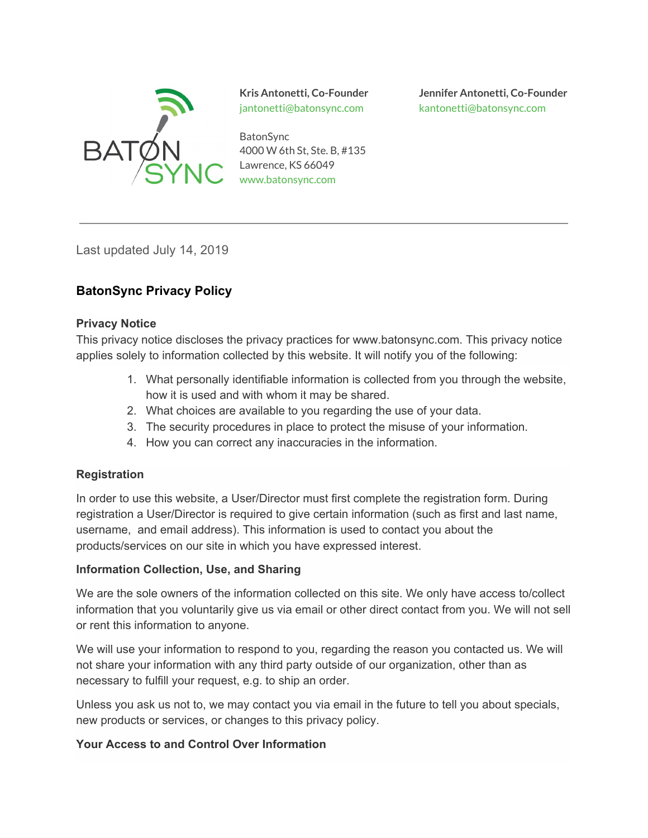

jantonetti@batonsync.com kantonetti@batonsync.com

**BatonSync** 4000 W 6th St, Ste. B, #135 Lawrence, KS 66049 www.batonsync.com

**Kris Antonetti, Co-Founder Jennifer Antonetti, Co-Founder**

Last updated July 14, 2019

# **BatonSync Privacy Policy**

#### **Privacy Notice**

This privacy notice discloses the privacy practices for www.batonsync.com. This privacy notice applies solely to information collected by this website. It will notify you of the following:

- 1. What personally identifiable information is collected from you through the website, how it is used and with whom it may be shared.
- 2. What choices are available to you regarding the use of your data.
- 3. The security procedures in place to protect the misuse of your information.
- 4. How you can correct any inaccuracies in the information.

#### **Registration**

In order to use this website, a User/Director must first complete the registration form. During registration a User/Director is required to give certain information (such as first and last name, username, and email address). This information is used to contact you about the products/services on our site in which you have expressed interest.

#### **Information Collection, Use, and Sharing**

We are the sole owners of the information collected on this site. We only have access to/collect information that you voluntarily give us via email or other direct contact from you. We will not sell or rent this information to anyone.

We will use your information to respond to you, regarding the reason you contacted us. We will not share your information with any third party outside of our organization, other than as necessary to fulfill your request, e.g. to ship an order.

Unless you ask us not to, we may contact you via email in the future to tell you about specials, new products or services, or changes to this privacy policy.

### **Your Access to and Control Over Information**